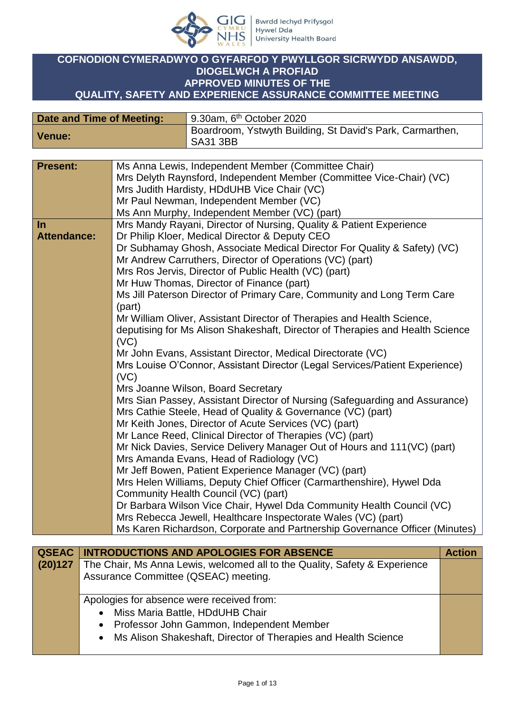

# **COFNODION CYMERADWYO O GYFARFOD Y PWYLLGOR SICRWYDD ANSAWDD, DIOGELWCH A PROFIAD APPROVED MINUTES OF THE QUALITY, SAFETY AND EXPERIENCE ASSURANCE COMMITTEE MEETING**

| Date and Time of Meeting: | 9.30am, $6th$ October 2020                                                   |
|---------------------------|------------------------------------------------------------------------------|
| Venue:                    | Boardroom, Ystwyth Building, St David's Park, Carmarthen,<br><b>SA31 3BB</b> |

| <b>Present:</b>    | Ms Anna Lewis, Independent Member (Committee Chair)<br>Mrs Delyth Raynsford, Independent Member (Committee Vice-Chair) (VC)<br>Mrs Judith Hardisty, HDdUHB Vice Chair (VC) |
|--------------------|----------------------------------------------------------------------------------------------------------------------------------------------------------------------------|
|                    | Mr Paul Newman, Independent Member (VC)                                                                                                                                    |
|                    | Ms Ann Murphy, Independent Member (VC) (part)                                                                                                                              |
| In                 | Mrs Mandy Rayani, Director of Nursing, Quality & Patient Experience                                                                                                        |
| <b>Attendance:</b> | Dr Philip Kloer, Medical Director & Deputy CEO                                                                                                                             |
|                    | Dr Subhamay Ghosh, Associate Medical Director For Quality & Safety) (VC)                                                                                                   |
|                    | Mr Andrew Carruthers, Director of Operations (VC) (part)                                                                                                                   |
|                    | Mrs Ros Jervis, Director of Public Health (VC) (part)                                                                                                                      |
|                    | Mr Huw Thomas, Director of Finance (part)                                                                                                                                  |
|                    | Ms Jill Paterson Director of Primary Care, Community and Long Term Care                                                                                                    |
|                    | (part)                                                                                                                                                                     |
|                    | Mr William Oliver, Assistant Director of Therapies and Health Science,                                                                                                     |
|                    | deputising for Ms Alison Shakeshaft, Director of Therapies and Health Science                                                                                              |
|                    | (VC)                                                                                                                                                                       |
|                    | Mr John Evans, Assistant Director, Medical Directorate (VC)                                                                                                                |
|                    | Mrs Louise O'Connor, Assistant Director (Legal Services/Patient Experience)<br>(VC)                                                                                        |
|                    | Mrs Joanne Wilson, Board Secretary                                                                                                                                         |
|                    | Mrs Sian Passey, Assistant Director of Nursing (Safeguarding and Assurance)                                                                                                |
|                    | Mrs Cathie Steele, Head of Quality & Governance (VC) (part)                                                                                                                |
|                    | Mr Keith Jones, Director of Acute Services (VC) (part)                                                                                                                     |
|                    | Mr Lance Reed, Clinical Director of Therapies (VC) (part)                                                                                                                  |
|                    | Mr Nick Davies, Service Delivery Manager Out of Hours and 111 (VC) (part)                                                                                                  |
|                    | Mrs Amanda Evans, Head of Radiology (VC)                                                                                                                                   |
|                    | Mr Jeff Bowen, Patient Experience Manager (VC) (part)                                                                                                                      |
|                    | Mrs Helen Williams, Deputy Chief Officer (Carmarthenshire), Hywel Dda                                                                                                      |
|                    | Community Health Council (VC) (part)                                                                                                                                       |
|                    | Dr Barbara Wilson Vice Chair, Hywel Dda Community Health Council (VC)                                                                                                      |
|                    | Mrs Rebecca Jewell, Healthcare Inspectorate Wales (VC) (part)                                                                                                              |
|                    |                                                                                                                                                                            |
|                    | Ms Karen Richardson, Corporate and Partnership Governance Officer (Minutes)                                                                                                |

|         | <b>QSEAC   INTRODUCTIONS AND APOLOGIES FOR ABSENCE</b>                     | <b>Action</b> |
|---------|----------------------------------------------------------------------------|---------------|
| (20)127 | The Chair, Ms Anna Lewis, welcomed all to the Quality, Safety & Experience |               |
|         | Assurance Committee (QSEAC) meeting.                                       |               |
|         |                                                                            |               |
|         | Apologies for absence were received from:                                  |               |
|         | • Miss Maria Battle, HDdUHB Chair                                          |               |
|         | • Professor John Gammon, Independent Member                                |               |
|         | • Ms Alison Shakeshaft, Director of Therapies and Health Science           |               |
|         |                                                                            |               |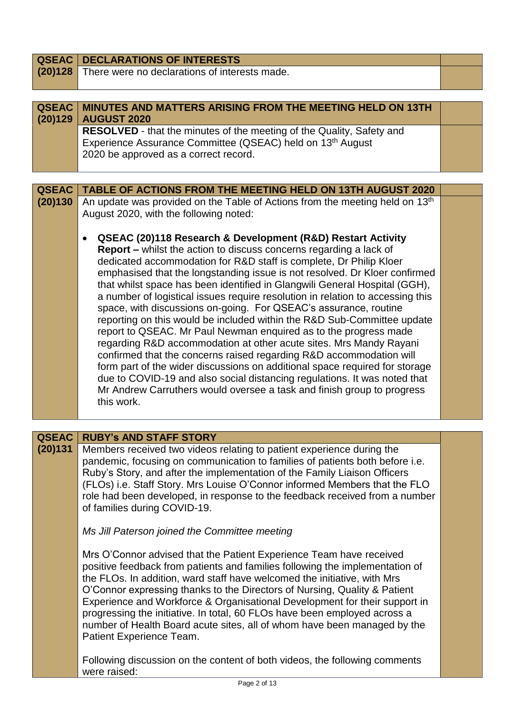| <b>QSEAC</b>            | <b>DECLARATIONS OF INTERESTS</b>                                                                                                                          |  |
|-------------------------|-----------------------------------------------------------------------------------------------------------------------------------------------------------|--|
| (20)128                 | There were no declarations of interests made.                                                                                                             |  |
|                         |                                                                                                                                                           |  |
| <b>QSEAC</b><br>(20)129 | MINUTES AND MATTERS ARISING FROM THE MEETING HELD ON 13TH<br><b>AUGUST 2020</b>                                                                           |  |
|                         | RESOLVED - that the minutes of the meeting of the Quality, Safety and                                                                                     |  |
|                         | Experience Assurance Committee (QSEAC) held on 13 <sup>th</sup> August                                                                                    |  |
|                         | 2020 be approved as a correct record.                                                                                                                     |  |
|                         |                                                                                                                                                           |  |
| <b>QSEAC</b>            | <b>TABLE OF ACTIONS FROM THE MEETING HELD ON 13TH AUGUST 2020</b>                                                                                         |  |
| (20)130                 | An update was provided on the Table of Actions from the meeting held on 13 <sup>th</sup>                                                                  |  |
|                         | August 2020, with the following noted:                                                                                                                    |  |
|                         | <b>QSEAC (20)118 Research &amp; Development (R&amp;D) Restart Activity</b>                                                                                |  |
|                         | <b>Report - whilst the action to discuss concerns regarding a lack of</b>                                                                                 |  |
|                         | dedicated accommodation for R&D staff is complete, Dr Philip Kloer                                                                                        |  |
|                         | emphasised that the longstanding issue is not resolved. Dr Kloer confirmed<br>that whilst space has been identified in Glangwili General Hospital (GGH),  |  |
|                         | a number of logistical issues require resolution in relation to accessing this                                                                            |  |
|                         | space, with discussions on-going. For QSEAC's assurance, routine                                                                                          |  |
|                         | reporting on this would be included within the R&D Sub-Committee update                                                                                   |  |
|                         | report to QSEAC. Mr Paul Newman enquired as to the progress made                                                                                          |  |
|                         | regarding R&D accommodation at other acute sites. Mrs Mandy Rayani<br>confirmed that the concerns raised regarding R&D accommodation will                 |  |
|                         | form part of the wider discussions on additional space required for storage                                                                               |  |
|                         | due to COVID-19 and also social distancing regulations. It was noted that                                                                                 |  |
|                         | Mr Andrew Carruthers would oversee a task and finish group to progress                                                                                    |  |
|                         | this work.                                                                                                                                                |  |
|                         |                                                                                                                                                           |  |
| <b>QSEAC</b>            | <b>RUBY's AND STAFF STORY</b>                                                                                                                             |  |
| (20)131                 | Members received two videos relating to patient experience during the                                                                                     |  |
|                         | pandemic, focusing on communication to families of patients both before i.e.<br>Ruby's Story, and after the implementation of the Family Liaison Officers |  |
|                         | (FLOs) i.e. Staff Story. Mrs Louise O'Connor informed Members that the FLO                                                                                |  |
|                         | role had been developed, in response to the feedback received from a number                                                                               |  |
|                         | of families during COVID-19.                                                                                                                              |  |
|                         | Ms Jill Paterson joined the Committee meeting                                                                                                             |  |
|                         | Mrs O'Connor advised that the Patient Experience Team have received                                                                                       |  |
|                         | positive feedback from patients and families following the implementation of                                                                              |  |
|                         | the FLOs. In addition, ward staff have welcomed the initiative, with Mrs                                                                                  |  |
|                         | O'Connor expressing thanks to the Directors of Nursing, Quality & Patient                                                                                 |  |
|                         | Experience and Workforce & Organisational Development for their support in<br>progressing the initiative. In total, 60 FLOs have been employed across a   |  |
|                         | number of Health Board acute sites, all of whom have been managed by the                                                                                  |  |
|                         | Patient Experience Team.                                                                                                                                  |  |
|                         |                                                                                                                                                           |  |
|                         | Following discussion on the content of both videos, the following comments<br>were raised:                                                                |  |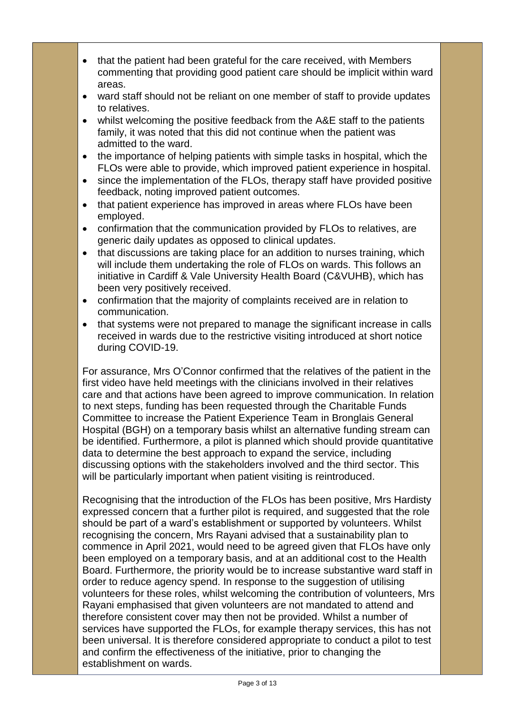- that the patient had been grateful for the care received, with Members commenting that providing good patient care should be implicit within ward areas.
- ward staff should not be reliant on one member of staff to provide updates to relatives.
- whilst welcoming the positive feedback from the A&E staff to the patients family, it was noted that this did not continue when the patient was admitted to the ward.
- the importance of helping patients with simple tasks in hospital, which the FLOs were able to provide, which improved patient experience in hospital.
- since the implementation of the FLOs, therapy staff have provided positive feedback, noting improved patient outcomes.
- that patient experience has improved in areas where FLOs have been employed.
- confirmation that the communication provided by FLOs to relatives, are generic daily updates as opposed to clinical updates.
- that discussions are taking place for an addition to nurses training, which will include them undertaking the role of FLOs on wards. This follows an initiative in Cardiff & Vale University Health Board (C&VUHB), which has been very positively received.
- confirmation that the majority of complaints received are in relation to communication.
- that systems were not prepared to manage the significant increase in calls received in wards due to the restrictive visiting introduced at short notice during COVID-19.

For assurance, Mrs O'Connor confirmed that the relatives of the patient in the first video have held meetings with the clinicians involved in their relatives care and that actions have been agreed to improve communication. In relation to next steps, funding has been requested through the Charitable Funds Committee to increase the Patient Experience Team in Bronglais General Hospital (BGH) on a temporary basis whilst an alternative funding stream can be identified. Furthermore, a pilot is planned which should provide quantitative data to determine the best approach to expand the service, including discussing options with the stakeholders involved and the third sector. This will be particularly important when patient visiting is reintroduced.

Recognising that the introduction of the FLOs has been positive, Mrs Hardisty expressed concern that a further pilot is required, and suggested that the role should be part of a ward's establishment or supported by volunteers. Whilst recognising the concern, Mrs Rayani advised that a sustainability plan to commence in April 2021, would need to be agreed given that FLOs have only been employed on a temporary basis, and at an additional cost to the Health Board. Furthermore, the priority would be to increase substantive ward staff in order to reduce agency spend. In response to the suggestion of utilising volunteers for these roles, whilst welcoming the contribution of volunteers, Mrs Rayani emphasised that given volunteers are not mandated to attend and therefore consistent cover may then not be provided. Whilst a number of services have supported the FLOs, for example therapy services, this has not been universal. It is therefore considered appropriate to conduct a pilot to test and confirm the effectiveness of the initiative, prior to changing the establishment on wards.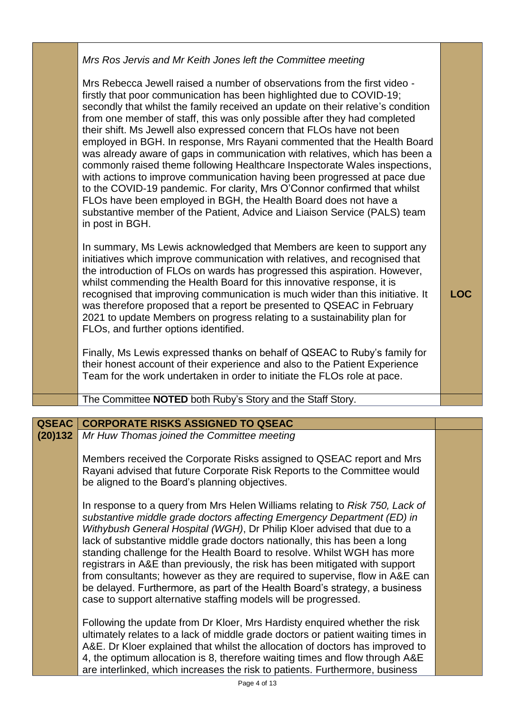| Mrs Ros Jervis and Mr Keith Jones left the Committee meeting<br>Mrs Rebecca Jewell raised a number of observations from the first video -<br>firstly that poor communication has been highlighted due to COVID-19;<br>secondly that whilst the family received an update on their relative's condition<br>from one member of staff, this was only possible after they had completed<br>their shift. Ms Jewell also expressed concern that FLOs have not been<br>employed in BGH. In response, Mrs Rayani commented that the Health Board<br>was already aware of gaps in communication with relatives, which has been a<br>commonly raised theme following Healthcare Inspectorate Wales inspections, |            |
|-------------------------------------------------------------------------------------------------------------------------------------------------------------------------------------------------------------------------------------------------------------------------------------------------------------------------------------------------------------------------------------------------------------------------------------------------------------------------------------------------------------------------------------------------------------------------------------------------------------------------------------------------------------------------------------------------------|------------|
| with actions to improve communication having been progressed at pace due<br>to the COVID-19 pandemic. For clarity, Mrs O'Connor confirmed that whilst<br>FLOs have been employed in BGH, the Health Board does not have a<br>substantive member of the Patient, Advice and Liaison Service (PALS) team<br>in post in BGH.<br>In summary, Ms Lewis acknowledged that Members are keen to support any<br>initiatives which improve communication with relatives, and recognised that<br>the introduction of FLOs on wards has progressed this aspiration. However,                                                                                                                                      |            |
| whilst commending the Health Board for this innovative response, it is<br>recognised that improving communication is much wider than this initiative. It<br>was therefore proposed that a report be presented to QSEAC in February<br>2021 to update Members on progress relating to a sustainability plan for<br>FLOs, and further options identified.<br>Finally, Ms Lewis expressed thanks on behalf of QSEAC to Ruby's family for                                                                                                                                                                                                                                                                 | <b>LOC</b> |
| their honest account of their experience and also to the Patient Experience<br>Team for the work undertaken in order to initiate the FLOs role at pace.                                                                                                                                                                                                                                                                                                                                                                                                                                                                                                                                               |            |
| The Committee NOTED both Ruby's Story and the Staff Story.                                                                                                                                                                                                                                                                                                                                                                                                                                                                                                                                                                                                                                            |            |
|                                                                                                                                                                                                                                                                                                                                                                                                                                                                                                                                                                                                                                                                                                       |            |

#### **QSEAC CORPORATE RISKS ASSIGNED TO QSEAC**

**(20)132** *Mr Huw Thomas joined the Committee meeting*

> Members received the Corporate Risks assigned to QSEAC report and Mrs Rayani advised that future Corporate Risk Reports to the Committee would be aligned to the Board's planning objectives.

In response to a query from Mrs Helen Williams relating to *Risk 750, Lack of substantive middle grade doctors affecting Emergency Department (ED) in Withybush General Hospital (WGH)*, Dr Philip Kloer advised that due to a lack of substantive middle grade doctors nationally, this has been a long standing challenge for the Health Board to resolve. Whilst WGH has more registrars in A&E than previously, the risk has been mitigated with support from consultants; however as they are required to supervise, flow in A&E can be delayed. Furthermore, as part of the Health Board's strategy, a business case to support alternative staffing models will be progressed.

Following the update from Dr Kloer, Mrs Hardisty enquired whether the risk ultimately relates to a lack of middle grade doctors or patient waiting times in A&E. Dr Kloer explained that whilst the allocation of doctors has improved to 4, the optimum allocation is 8, therefore waiting times and flow through A&E are interlinked, which increases the risk to patients. Furthermore, business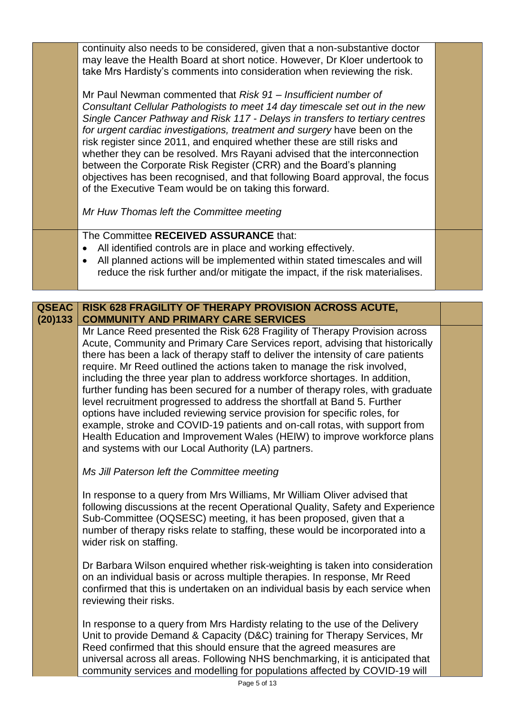continuity also needs to be considered, given that a non-substantive doctor may leave the Health Board at short notice. However, Dr Kloer undertook to take Mrs Hardisty's comments into consideration when reviewing the risk.

Mr Paul Newman commented that *Risk 91 – Insufficient number of Consultant Cellular Pathologists to meet 14 day timescale set out in the new Single Cancer Pathway and Risk 117 - Delays in transfers to tertiary centres for urgent cardiac investigations, treatment and surgery* have been on the risk register since 2011, and enquired whether these are still risks and whether they can be resolved. Mrs Rayani advised that the interconnection between the Corporate Risk Register (CRR) and the Board's planning objectives has been recognised, and that following Board approval, the focus of the Executive Team would be on taking this forward.

*Mr Huw Thomas left the Committee meeting*

The Committee **RECEIVED ASSURANCE** that:

- All identified controls are in place and working effectively.
- All planned actions will be implemented within stated timescales and will reduce the risk further and/or mitigate the impact, if the risk materialises.

### **QSEAC (20)133 RISK 628 FRAGILITY OF THERAPY PROVISION ACROSS ACUTE, COMMUNITY AND PRIMARY CARE SERVICES**

Mr Lance Reed presented the Risk 628 Fragility of Therapy Provision across Acute, Community and Primary Care Services report, advising that historically there has been a lack of therapy staff to deliver the intensity of care patients require. Mr Reed outlined the actions taken to manage the risk involved, including the three year plan to address workforce shortages. In addition, further funding has been secured for a number of therapy roles, with graduate level recruitment progressed to address the shortfall at Band 5. Further options have included reviewing service provision for specific roles, for example, stroke and COVID-19 patients and on-call rotas, with support from Health Education and Improvement Wales (HEIW) to improve workforce plans and systems with our Local Authority (LA) partners.

*Ms Jill Paterson left the Committee meeting*

In response to a query from Mrs Williams, Mr William Oliver advised that following discussions at the recent Operational Quality, Safety and Experience Sub-Committee (OQSESC) meeting, it has been proposed, given that a number of therapy risks relate to staffing, these would be incorporated into a wider risk on staffing.

Dr Barbara Wilson enquired whether risk-weighting is taken into consideration on an individual basis or across multiple therapies. In response, Mr Reed confirmed that this is undertaken on an individual basis by each service when reviewing their risks.

In response to a query from Mrs Hardisty relating to the use of the Delivery Unit to provide Demand & Capacity (D&C) training for Therapy Services, Mr Reed confirmed that this should ensure that the agreed measures are universal across all areas. Following NHS benchmarking, it is anticipated that community services and modelling for populations affected by COVID-19 will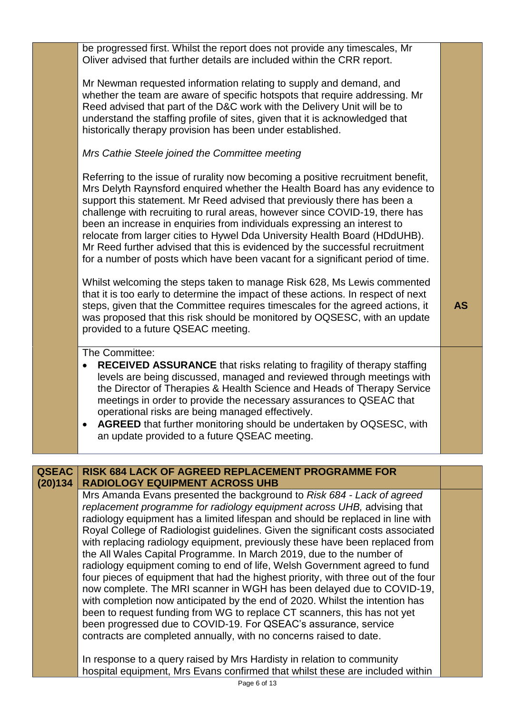be progressed first. Whilst the report does not provide any timescales, Mr Oliver advised that further details are included within the CRR report. Mr Newman requested information relating to supply and demand, and whether the team are aware of specific hotspots that require addressing. Mr Reed advised that part of the D&C work with the Delivery Unit will be to understand the staffing profile of sites, given that it is acknowledged that historically therapy provision has been under established. *Mrs Cathie Steele joined the Committee meeting* Referring to the issue of rurality now becoming a positive recruitment benefit, Mrs Delyth Raynsford enquired whether the Health Board has any evidence to support this statement. Mr Reed advised that previously there has been a challenge with recruiting to rural areas, however since COVID-19, there has been an increase in enquiries from individuals expressing an interest to relocate from larger cities to Hywel Dda University Health Board (HDdUHB). Mr Reed further advised that this is evidenced by the successful recruitment for a number of posts which have been vacant for a significant period of time. Whilst welcoming the steps taken to manage Risk 628, Ms Lewis commented that it is too early to determine the impact of these actions. In respect of next steps, given that the Committee requires timescales for the agreed actions, it was proposed that this risk should be monitored by OQSESC, with an update provided to a future QSEAC meeting. **AS** The Committee: **RECEIVED ASSURANCE** that risks relating to fragility of therapy staffing levels are being discussed, managed and reviewed through meetings with the Director of Therapies & Health Science and Heads of Therapy Service meetings in order to provide the necessary assurances to QSEAC that operational risks are being managed effectively. **AGREED** that further monitoring should be undertaken by OQSESC, with an update provided to a future QSEAC meeting. **QSEAC (20)134 RISK 684 LACK OF AGREED REPLACEMENT PROGRAMME FOR RADIOLOGY EQUIPMENT ACROSS UHB**

Mrs Amanda Evans presented the background to *Risk 684 - Lack of agreed replacement programme for radiology equipment across UHB,* advising that radiology equipment has a limited lifespan and should be replaced in line with Royal College of Radiologist guidelines. Given the significant costs associated with replacing radiology equipment, previously these have been replaced from the All Wales Capital Programme. In March 2019, due to the number of radiology equipment coming to end of life, Welsh Government agreed to fund four pieces of equipment that had the highest priority, with three out of the four now complete. The MRI scanner in WGH has been delayed due to COVID-19, with completion now anticipated by the end of 2020. Whilst the intention has been to request funding from WG to replace CT scanners, this has not yet been progressed due to COVID-19. For QSEAC's assurance, service contracts are completed annually, with no concerns raised to date.

In response to a query raised by Mrs Hardisty in relation to community hospital equipment, Mrs Evans confirmed that whilst these are included within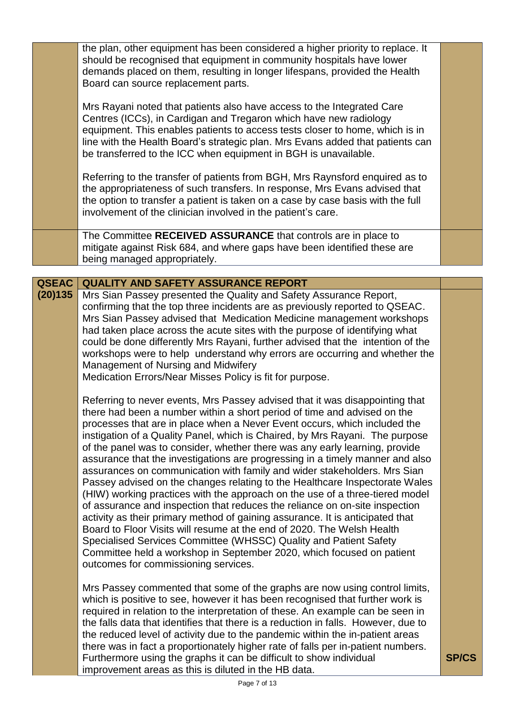|              | the plan, other equipment has been considered a higher priority to replace. It<br>should be recognised that equipment in community hospitals have lower<br>demands placed on them, resulting in longer lifespans, provided the Health<br>Board can source replacement parts.                                                                                                                                                                                                                                                                                                                                                                                                                                                                                                                                                                                                                                                                                                                                                                                                                                                                                     |              |  |
|--------------|------------------------------------------------------------------------------------------------------------------------------------------------------------------------------------------------------------------------------------------------------------------------------------------------------------------------------------------------------------------------------------------------------------------------------------------------------------------------------------------------------------------------------------------------------------------------------------------------------------------------------------------------------------------------------------------------------------------------------------------------------------------------------------------------------------------------------------------------------------------------------------------------------------------------------------------------------------------------------------------------------------------------------------------------------------------------------------------------------------------------------------------------------------------|--------------|--|
|              | Mrs Rayani noted that patients also have access to the Integrated Care<br>Centres (ICCs), in Cardigan and Tregaron which have new radiology<br>equipment. This enables patients to access tests closer to home, which is in<br>line with the Health Board's strategic plan. Mrs Evans added that patients can<br>be transferred to the ICC when equipment in BGH is unavailable.                                                                                                                                                                                                                                                                                                                                                                                                                                                                                                                                                                                                                                                                                                                                                                                 |              |  |
|              | Referring to the transfer of patients from BGH, Mrs Raynsford enquired as to<br>the appropriateness of such transfers. In response, Mrs Evans advised that<br>the option to transfer a patient is taken on a case by case basis with the full<br>involvement of the clinician involved in the patient's care.                                                                                                                                                                                                                                                                                                                                                                                                                                                                                                                                                                                                                                                                                                                                                                                                                                                    |              |  |
|              | The Committee RECEIVED ASSURANCE that controls are in place to<br>mitigate against Risk 684, and where gaps have been identified these are<br>being managed appropriately.                                                                                                                                                                                                                                                                                                                                                                                                                                                                                                                                                                                                                                                                                                                                                                                                                                                                                                                                                                                       |              |  |
|              |                                                                                                                                                                                                                                                                                                                                                                                                                                                                                                                                                                                                                                                                                                                                                                                                                                                                                                                                                                                                                                                                                                                                                                  |              |  |
| <b>QSEAC</b> | <b>QUALITY AND SAFETY ASSURANCE REPORT</b>                                                                                                                                                                                                                                                                                                                                                                                                                                                                                                                                                                                                                                                                                                                                                                                                                                                                                                                                                                                                                                                                                                                       |              |  |
| (20)135      | Mrs Sian Passey presented the Quality and Safety Assurance Report,<br>confirming that the top three incidents are as previously reported to QSEAC.<br>Mrs Sian Passey advised that Medication Medicine management workshops<br>had taken place across the acute sites with the purpose of identifying what<br>could be done differently Mrs Rayani, further advised that the intention of the<br>workshops were to help understand why errors are occurring and whether the<br>Management of Nursing and Midwifery<br>Medication Errors/Near Misses Policy is fit for purpose.                                                                                                                                                                                                                                                                                                                                                                                                                                                                                                                                                                                   |              |  |
|              | Referring to never events, Mrs Passey advised that it was disappointing that<br>there had been a number within a short period of time and advised on the<br>processes that are in place when a Never Event occurs, which included the<br>instigation of a Quality Panel, which is Chaired, by Mrs Rayani. The purpose<br>of the panel was to consider, whether there was any early learning, provide<br>assurance that the investigations are progressing in a timely manner and also<br>assurances on communication with family and wider stakeholders. Mrs Sian<br>Passey advised on the changes relating to the Healthcare Inspectorate Wales<br>(HIW) working practices with the approach on the use of a three-tiered model<br>of assurance and inspection that reduces the reliance on on-site inspection<br>activity as their primary method of gaining assurance. It is anticipated that<br>Board to Floor Visits will resume at the end of 2020. The Welsh Health<br>Specialised Services Committee (WHSSC) Quality and Patient Safety<br>Committee held a workshop in September 2020, which focused on patient<br>outcomes for commissioning services. |              |  |
|              | Mrs Passey commented that some of the graphs are now using control limits,<br>which is positive to see, however it has been recognised that further work is<br>required in relation to the interpretation of these. An example can be seen in<br>the falls data that identifies that there is a reduction in falls. However, due to<br>the reduced level of activity due to the pandemic within the in-patient areas<br>there was in fact a proportionately higher rate of falls per in-patient numbers.<br>Furthermore using the graphs it can be difficult to show individual                                                                                                                                                                                                                                                                                                                                                                                                                                                                                                                                                                                  | <b>SP/CS</b> |  |

improvement areas as this is diluted in the HB data.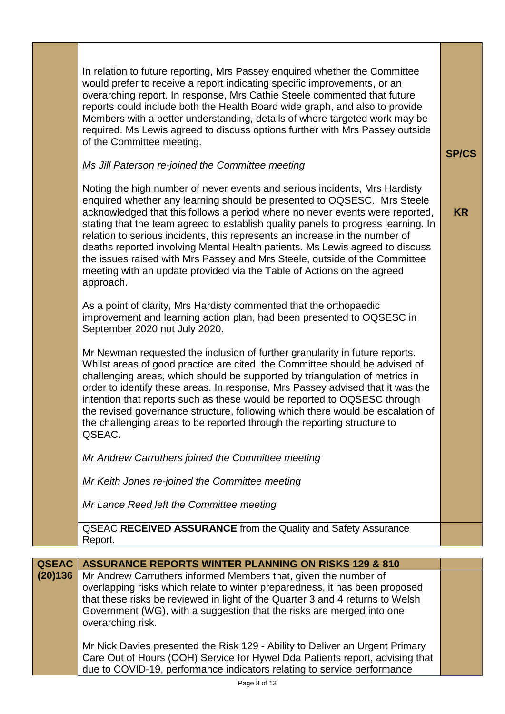In relation to future reporting, Mrs Passey enquired whether the Committee would prefer to receive a report indicating specific improvements, or an overarching report. In response, Mrs Cathie Steele commented that future reports could include both the Health Board wide graph, and also to provide Members with a better understanding, details of where targeted work may be required. Ms Lewis agreed to discuss options further with Mrs Passey outside of the Committee meeting.

## *Ms Jill Paterson re-joined the Committee meeting*

Noting the high number of never events and serious incidents, Mrs Hardisty enquired whether any learning should be presented to OQSESC. Mrs Steele acknowledged that this follows a period where no never events were reported, stating that the team agreed to establish quality panels to progress learning. In relation to serious incidents, this represents an increase in the number of deaths reported involving Mental Health patients. Ms Lewis agreed to discuss the issues raised with Mrs Passey and Mrs Steele, outside of the Committee meeting with an update provided via the Table of Actions on the agreed approach.

As a point of clarity, Mrs Hardisty commented that the orthopaedic improvement and learning action plan, had been presented to OQSESC in September 2020 not July 2020.

Mr Newman requested the inclusion of further granularity in future reports. Whilst areas of good practice are cited, the Committee should be advised of challenging areas, which should be supported by triangulation of metrics in order to identify these areas. In response, Mrs Passey advised that it was the intention that reports such as these would be reported to OQSESC through the revised governance structure, following which there would be escalation of the challenging areas to be reported through the reporting structure to QSEAC.

*Mr Andrew Carruthers joined the Committee meeting* 

*Mr Keith Jones re-joined the Committee meeting*

*Mr Lance Reed left the Committee meeting*

QSEAC **RECEIVED ASSURANCE** from the Quality and Safety Assurance Report.

| <b>QSEAC</b> | <b>ASSURANCE REPORTS WINTER PLANNING ON RISKS 129 &amp; 810</b>               |  |
|--------------|-------------------------------------------------------------------------------|--|
| (20)136      | Mr Andrew Carruthers informed Members that, given the number of               |  |
|              | overlapping risks which relate to winter preparedness, it has been proposed   |  |
|              | that these risks be reviewed in light of the Quarter 3 and 4 returns to Welsh |  |
|              | Government (WG), with a suggestion that the risks are merged into one         |  |
|              | overarching risk.                                                             |  |
|              |                                                                               |  |
|              | Mr Nick Davies presented the Risk 129 - Ability to Deliver an Urgent Primary  |  |
|              | Care Out of Hours (OOH) Service for Hywel Dda Patients report, advising that  |  |
|              | due to COVID-19, performance indicators relating to service performance       |  |

**SP/CS**

**KR**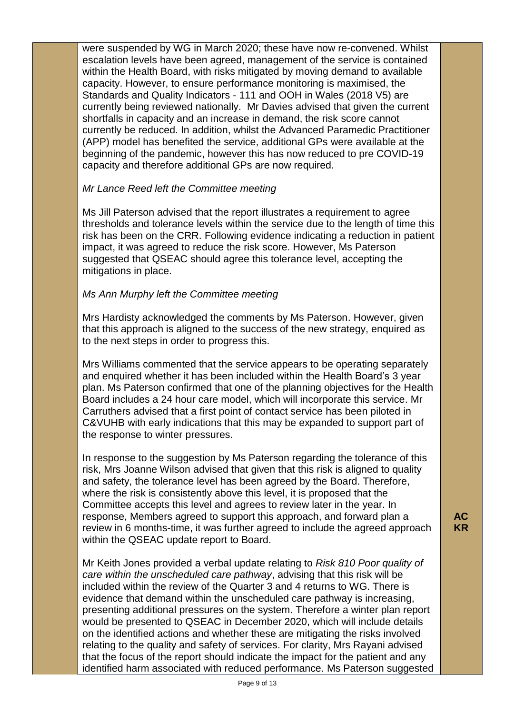were suspended by WG in March 2020; these have now re-convened. Whilst escalation levels have been agreed, management of the service is contained within the Health Board, with risks mitigated by moving demand to available capacity. However, to ensure performance monitoring is maximised, the Standards and Quality Indicators - 111 and OOH in Wales (2018 V5) are currently being reviewed nationally. Mr Davies advised that given the current shortfalls in capacity and an increase in demand, the risk score cannot currently be reduced. In addition, whilst the Advanced Paramedic Practitioner (APP) model has benefited the service, additional GPs were available at the beginning of the pandemic, however this has now reduced to pre COVID-19 capacity and therefore additional GPs are now required.

# *Mr Lance Reed left the Committee meeting*

Ms Jill Paterson advised that the report illustrates a requirement to agree thresholds and tolerance levels within the service due to the length of time this risk has been on the CRR. Following evidence indicating a reduction in patient impact, it was agreed to reduce the risk score. However, Ms Paterson suggested that QSEAC should agree this tolerance level, accepting the mitigations in place.

### *Ms Ann Murphy left the Committee meeting*

Mrs Hardisty acknowledged the comments by Ms Paterson. However, given that this approach is aligned to the success of the new strategy, enquired as to the next steps in order to progress this.

Mrs Williams commented that the service appears to be operating separately and enquired whether it has been included within the Health Board's 3 year plan. Ms Paterson confirmed that one of the planning objectives for the Health Board includes a 24 hour care model, which will incorporate this service. Mr Carruthers advised that a first point of contact service has been piloted in C&VUHB with early indications that this may be expanded to support part of the response to winter pressures.

In response to the suggestion by Ms Paterson regarding the tolerance of this risk, Mrs Joanne Wilson advised that given that this risk is aligned to quality and safety, the tolerance level has been agreed by the Board. Therefore, where the risk is consistently above this level, it is proposed that the Committee accepts this level and agrees to review later in the year. In response, Members agreed to support this approach, and forward plan a review in 6 months-time, it was further agreed to include the agreed approach within the QSEAC update report to Board.

Mr Keith Jones provided a verbal update relating to *Risk 810 Poor quality of care within the unscheduled care pathway*, advising that this risk will be included within the review of the Quarter 3 and 4 returns to WG. There is evidence that demand within the unscheduled care pathway is increasing, presenting additional pressures on the system. Therefore a winter plan report would be presented to QSEAC in December 2020, which will include details on the identified actions and whether these are mitigating the risks involved relating to the quality and safety of services. For clarity, Mrs Rayani advised that the focus of the report should indicate the impact for the patient and any identified harm associated with reduced performance. Ms Paterson suggested **AC KR**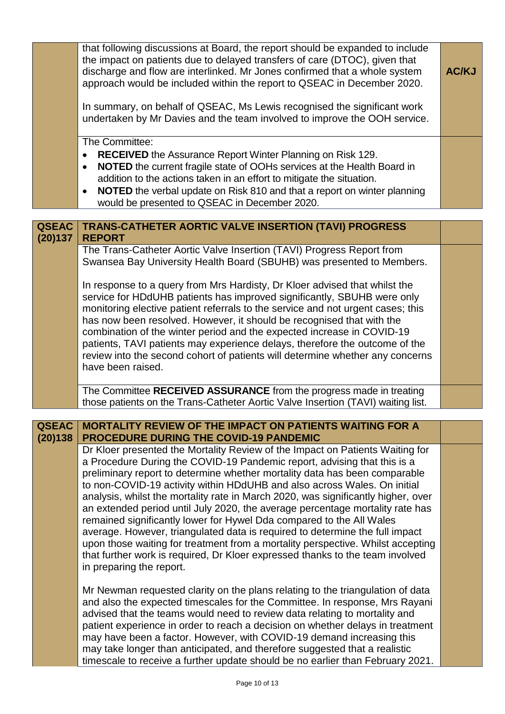|                         | that following discussions at Board, the report should be expanded to include<br>the impact on patients due to delayed transfers of care (DTOC), given that<br>discharge and flow are interlinked. Mr Jones confirmed that a whole system<br>approach would be included within the report to QSEAC in December 2020.<br>In summary, on behalf of QSEAC, Ms Lewis recognised the significant work<br>undertaken by Mr Davies and the team involved to improve the OOH service.                                                                                                                                                                                                                                                                                                                                                                     | <b>AC/KJ</b> |
|-------------------------|---------------------------------------------------------------------------------------------------------------------------------------------------------------------------------------------------------------------------------------------------------------------------------------------------------------------------------------------------------------------------------------------------------------------------------------------------------------------------------------------------------------------------------------------------------------------------------------------------------------------------------------------------------------------------------------------------------------------------------------------------------------------------------------------------------------------------------------------------|--------------|
|                         | The Committee:<br><b>RECEIVED</b> the Assurance Report Winter Planning on Risk 129.<br>NOTED the current fragile state of OOHs services at the Health Board in<br>$\bullet$<br>addition to the actions taken in an effort to mitigate the situation.<br>NOTED the verbal update on Risk 810 and that a report on winter planning<br>would be presented to QSEAC in December 2020.                                                                                                                                                                                                                                                                                                                                                                                                                                                                 |              |
| <b>QSEAC</b><br>(20)137 | <b>TRANS-CATHETER AORTIC VALVE INSERTION (TAVI) PROGRESS</b><br><b>REPORT</b>                                                                                                                                                                                                                                                                                                                                                                                                                                                                                                                                                                                                                                                                                                                                                                     |              |
|                         | The Trans-Catheter Aortic Valve Insertion (TAVI) Progress Report from<br>Swansea Bay University Health Board (SBUHB) was presented to Members.                                                                                                                                                                                                                                                                                                                                                                                                                                                                                                                                                                                                                                                                                                    |              |
|                         | In response to a query from Mrs Hardisty, Dr Kloer advised that whilst the<br>service for HDdUHB patients has improved significantly, SBUHB were only<br>monitoring elective patient referrals to the service and not urgent cases; this<br>has now been resolved. However, it should be recognised that with the<br>combination of the winter period and the expected increase in COVID-19<br>patients, TAVI patients may experience delays, therefore the outcome of the<br>review into the second cohort of patients will determine whether any concerns<br>have been raised.                                                                                                                                                                                                                                                                  |              |
|                         | The Committee RECEIVED ASSURANCE from the progress made in treating<br>those patients on the Trans-Catheter Aortic Valve Insertion (TAVI) waiting list.                                                                                                                                                                                                                                                                                                                                                                                                                                                                                                                                                                                                                                                                                           |              |
|                         |                                                                                                                                                                                                                                                                                                                                                                                                                                                                                                                                                                                                                                                                                                                                                                                                                                                   |              |
| <b>QSEAC</b><br>(20)138 | <b>MORTALITY REVIEW OF THE IMPACT ON PATIENTS WAITING FOR A</b><br><b>PROCEDURE DURING THE COVID-19 PANDEMIC</b>                                                                                                                                                                                                                                                                                                                                                                                                                                                                                                                                                                                                                                                                                                                                  |              |
|                         | Dr Kloer presented the Mortality Review of the Impact on Patients Waiting for<br>a Procedure During the COVID-19 Pandemic report, advising that this is a<br>preliminary report to determine whether mortality data has been comparable<br>to non-COVID-19 activity within HDdUHB and also across Wales. On initial<br>analysis, whilst the mortality rate in March 2020, was significantly higher, over<br>an extended period until July 2020, the average percentage mortality rate has<br>remained significantly lower for Hywel Dda compared to the All Wales<br>average. However, triangulated data is required to determine the full impact<br>upon those waiting for treatment from a mortality perspective. Whilst accepting<br>that further work is required, Dr Kloer expressed thanks to the team involved<br>in preparing the report. |              |
|                         | Mr Newman requested clarity on the plans relating to the triangulation of data<br>and also the expected timescales for the Committee. In response, Mrs Rayani<br>advised that the teams would need to review data relating to mortality and<br>patient experience in order to reach a decision on whether delays in treatment<br>may have been a factor. However, with COVID-19 demand increasing this<br>may take longer than anticipated, and therefore suggested that a realistic<br>timescale to receive a further update should be no earlier than February 2021.                                                                                                                                                                                                                                                                            |              |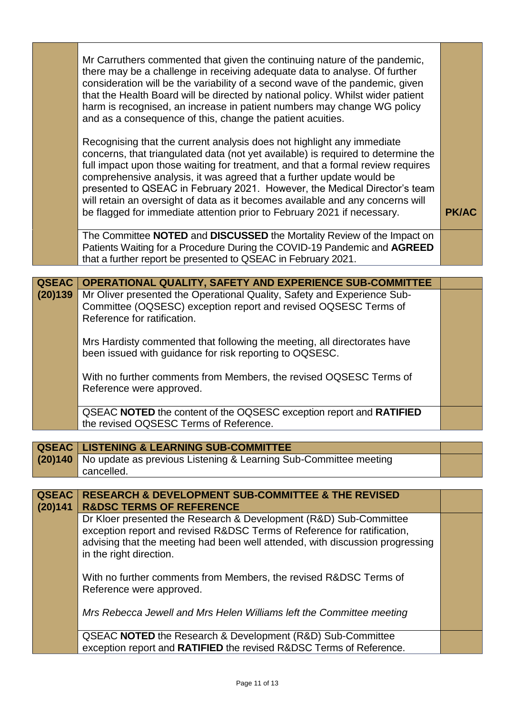|              | Mr Carruthers commented that given the continuing nature of the pandemic,<br>there may be a challenge in receiving adequate data to analyse. Of further<br>consideration will be the variability of a second wave of the pandemic, given<br>that the Health Board will be directed by national policy. Whilst wider patient<br>harm is recognised, an increase in patient numbers may change WG policy<br>and as a consequence of this, change the patient acuities.                                                                                             |              |
|--------------|------------------------------------------------------------------------------------------------------------------------------------------------------------------------------------------------------------------------------------------------------------------------------------------------------------------------------------------------------------------------------------------------------------------------------------------------------------------------------------------------------------------------------------------------------------------|--------------|
|              | Recognising that the current analysis does not highlight any immediate<br>concerns, that triangulated data (not yet available) is required to determine the<br>full impact upon those waiting for treatment, and that a formal review requires<br>comprehensive analysis, it was agreed that a further update would be<br>presented to QSEAC in February 2021. However, the Medical Director's team<br>will retain an oversight of data as it becomes available and any concerns will<br>be flagged for immediate attention prior to February 2021 if necessary. | <b>PK/AC</b> |
|              | The Committee NOTED and DISCUSSED the Mortality Review of the Impact on<br>Patients Waiting for a Procedure During the COVID-19 Pandemic and AGREED<br>that a further report be presented to QSEAC in February 2021.                                                                                                                                                                                                                                                                                                                                             |              |
|              |                                                                                                                                                                                                                                                                                                                                                                                                                                                                                                                                                                  |              |
| <b>QSEAC</b> | OPERATIONAL QUALITY, SAFETY AND EXPERIENCE SUB-COMMITTEE                                                                                                                                                                                                                                                                                                                                                                                                                                                                                                         |              |
| (20)139      | Mr Oliver presented the Operational Quality, Safety and Experience Sub-<br>Committee (OQSESC) exception report and revised OQSESC Terms of<br>Reference for ratification.                                                                                                                                                                                                                                                                                                                                                                                        |              |
|              | Mrs Hardisty commented that following the meeting, all directorates have<br>been issued with guidance for risk reporting to OQSESC.                                                                                                                                                                                                                                                                                                                                                                                                                              |              |
|              | With no further comments from Members, the revised OQSESC Terms of<br>Reference were approved.                                                                                                                                                                                                                                                                                                                                                                                                                                                                   |              |
|              | QSEAC NOTED the content of the OQSESC exception report and RATIFIED<br>the revised OQSESC Terms of Reference.                                                                                                                                                                                                                                                                                                                                                                                                                                                    |              |

| <b>QSEAC   LISTENING &amp; LEARNING SUB-COMMITTEE</b>                    |  |
|--------------------------------------------------------------------------|--|
| (20)140 No update as previous Listening & Learning Sub-Committee meeting |  |
| cancelled.                                                               |  |

| <b>QSEAC</b><br>(20)141 | <b>RESEARCH &amp; DEVELOPMENT SUB-COMMITTEE &amp; THE REVISED</b><br><b>R&amp;DSC TERMS OF REFERENCE</b>                                                                                                                                                 |  |
|-------------------------|----------------------------------------------------------------------------------------------------------------------------------------------------------------------------------------------------------------------------------------------------------|--|
|                         | Dr Kloer presented the Research & Development (R&D) Sub-Committee<br>exception report and revised R&DSC Terms of Reference for ratification,<br>advising that the meeting had been well attended, with discussion progressing<br>in the right direction. |  |
|                         | With no further comments from Members, the revised R&DSC Terms of<br>Reference were approved.                                                                                                                                                            |  |
|                         | Mrs Rebecca Jewell and Mrs Helen Williams left the Committee meeting                                                                                                                                                                                     |  |
|                         | QSEAC <b>NOTED</b> the Research & Development (R&D) Sub-Committee<br>exception report and RATIFIED the revised R&DSC Terms of Reference.                                                                                                                 |  |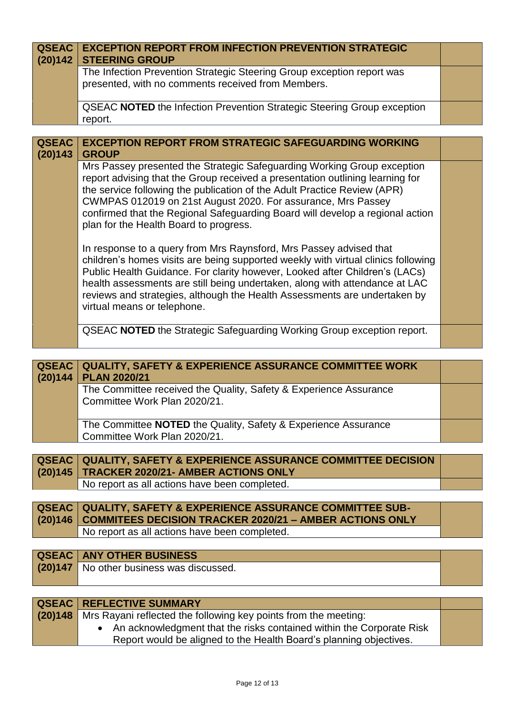| <b>QSEAC</b><br>(20)142 | <b>EXCEPTION REPORT FROM INFECTION PREVENTION STRATEGIC</b><br><b>STEERING GROUP</b><br>The Infection Prevention Strategic Steering Group exception report was<br>presented, with no comments received from Members.                                                                                                                                                                                                              |  |
|-------------------------|-----------------------------------------------------------------------------------------------------------------------------------------------------------------------------------------------------------------------------------------------------------------------------------------------------------------------------------------------------------------------------------------------------------------------------------|--|
|                         | <b>QSEAC NOTED</b> the Infection Prevention Strategic Steering Group exception<br>report.                                                                                                                                                                                                                                                                                                                                         |  |
| <b>QSEAC</b>            | <b>EXCEPTION REPORT FROM STRATEGIC SAFEGUARDING WORKING</b>                                                                                                                                                                                                                                                                                                                                                                       |  |
| (20)143                 | <b>GROUP</b>                                                                                                                                                                                                                                                                                                                                                                                                                      |  |
|                         | Mrs Passey presented the Strategic Safeguarding Working Group exception<br>report advising that the Group received a presentation outlining learning for<br>the service following the publication of the Adult Practice Review (APR)<br>CWMPAS 012019 on 21st August 2020. For assurance, Mrs Passey<br>confirmed that the Regional Safeguarding Board will develop a regional action<br>plan for the Health Board to progress.   |  |
|                         | In response to a query from Mrs Raynsford, Mrs Passey advised that<br>children's homes visits are being supported weekly with virtual clinics following<br>Public Health Guidance. For clarity however, Looked after Children's (LACs)<br>health assessments are still being undertaken, along with attendance at LAC<br>reviews and strategies, although the Health Assessments are undertaken by<br>virtual means or telephone. |  |
|                         | <b>QSEAC NOTED</b> the Strategic Safeguarding Working Group exception report.                                                                                                                                                                                                                                                                                                                                                     |  |

| (20)144 | <b>QSEAC   QUALITY, SAFETY &amp; EXPERIENCE ASSURANCE COMMITTEE WORK</b><br><b>PLAN 2020/21</b>   |  |
|---------|---------------------------------------------------------------------------------------------------|--|
|         | The Committee received the Quality, Safety & Experience Assurance<br>Committee Work Plan 2020/21. |  |
|         | The Committee NOTED the Quality, Safety & Experience Assurance<br>Committee Work Plan 2020/21.    |  |

| <b>QSEAC QUALITY, SAFETY &amp; EXPERIENCE ASSURANCE COMMITTEE DECISION</b> |  |
|----------------------------------------------------------------------------|--|
| (20)145   TRACKER 2020/21- AMBER ACTIONS ONLY                              |  |
| No report as all actions have been completed.                              |  |

| <b>QSEAC   QUALITY, SAFETY &amp; EXPERIENCE ASSURANCE COMMITTEE SUB-</b><br>(20)146   COMMITEES DECISION TRACKER 2020/21 - AMBER ACTIONS ONLY |  |
|-----------------------------------------------------------------------------------------------------------------------------------------------|--|
|                                                                                                                                               |  |
| No report as all actions have been completed.                                                                                                 |  |
|                                                                                                                                               |  |

| <b>QSEAC   ANY OTHER BUSINESS</b>        |  |
|------------------------------------------|--|
| (20)147 No other business was discussed. |  |
|                                          |  |

| <b>QSEAC REFLECTIVE SUMMARY</b>                                           |  |
|---------------------------------------------------------------------------|--|
| (20)148   Mrs Rayani reflected the following key points from the meeting: |  |
| • An acknowledgment that the risks contained within the Corporate Risk    |  |
| Report would be aligned to the Health Board's planning objectives.        |  |